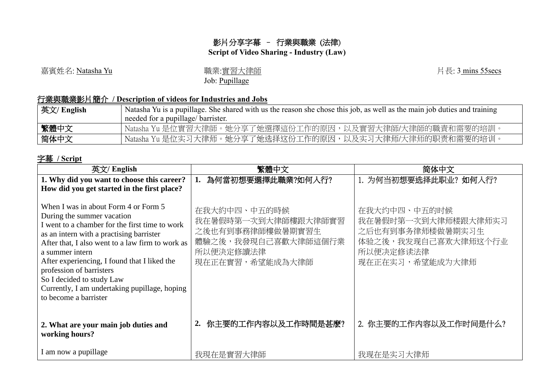## 影片分享字幕 – 行業與職業 (法律)

**Script of Video Sharing - Industry (Law)**



Job: Pupillage

## 行業與職業影片簡介 **/ Description of videos for Industries and Jobs**

| 英文/ English | Natasha Yu is a pupillage. She shared with us the reason she chose this job, as well as the main job duties and training |  |  |
|-------------|--------------------------------------------------------------------------------------------------------------------------|--|--|
|             | needed for a pupillage/ barrister.                                                                                       |  |  |
| 繁體中文        | Natasha Yu 是位實習大律師。她分享了她選擇這份工作的原因,以及實習大律師/大律師的職責和需要的培訓。                                                                  |  |  |
| 简体中文        | Natasha Yu 是位实习大律师。她分享了她选择这份工作的原因,以及实习大律师/大律师的职责和需要的培训。                                                                  |  |  |

## 字幕 **/ Script**

| 英文/ English                                                                                                                                                                                                                                                                                                                                                                                                                | 繁體中文                                                                                                           | 简体中文                                                                                                           |
|----------------------------------------------------------------------------------------------------------------------------------------------------------------------------------------------------------------------------------------------------------------------------------------------------------------------------------------------------------------------------------------------------------------------------|----------------------------------------------------------------------------------------------------------------|----------------------------------------------------------------------------------------------------------------|
| 1. Why did you want to choose this career?<br>How did you get started in the first place?                                                                                                                                                                                                                                                                                                                                  | 1. 為何當初想要選擇此職業?如何入行?                                                                                           | 1. 为何当初想要选择此职业? 如何入行?                                                                                          |
| When I was in about Form 4 or Form 5<br>During the summer vacation<br>I went to a chamber for the first time to work<br>as an intern with a practising barrister<br>After that, I also went to a law firm to work as<br>a summer intern<br>After experiencing, I found that I liked the<br>profession of barristers<br>So I decided to study Law<br>Currently, I am undertaking pupillage, hoping<br>to become a barrister | 在我大約中四、中五的時候<br>我在暑假時第一次到大律師樓跟大律師實習<br>之後也有到事務律師樓做暑期實習生<br>體驗之後,我發現自己喜歡大律師這個行業<br>所以便決定修讀法律<br>現在正在實習,希望能成為大律師 | 在我大约中四、中五的时候<br>我在暑假时第一次到大律师楼跟大律师实习<br>之后也有到事务律师楼做暑期实习生<br>体验之後,我发现自己喜欢大律师这个行业<br>所以便决定修读法律<br>现在正在实习,希望能成为大律师 |
| 2. What are your main job duties and<br>working hours?                                                                                                                                                                                                                                                                                                                                                                     | 你主要的工作内容以及工作時間是甚麼?                                                                                             | 2. 你主要的工作内容以及工作时间是什么?                                                                                          |
| I am now a pupillage                                                                                                                                                                                                                                                                                                                                                                                                       | 我現在是實習大律師                                                                                                      | 我现在是实习大律师                                                                                                      |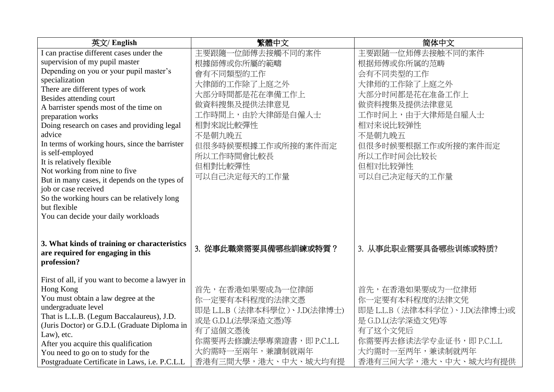| 英文/ English                                           | 繁體中文                        | 简体中文                         |
|-------------------------------------------------------|-----------------------------|------------------------------|
| I can practise different cases under the              | 主要跟隨一位師傅去接觸不同的案件            | 主要跟随一位师傅去接触不同的案件             |
| supervision of my pupil master                        | 根據師傅或你所屬的範疇                 | 根据师傅或你所属的范畴                  |
| Depending on you or your pupil master's               | 會有不同類型的工作                   | 会有不同类型的工作                    |
| specialization                                        | 大律師的工作除了上庭之外                | 大律师的工作除了上庭之外                 |
| There are different types of work                     | 大部分時間都是花在準備工作上              | 大部分时间都是花在准备工作上               |
| Besides attending court                               | 做資料搜集及提供法律意見                | 做资料搜集及提供法律意见                 |
| A barrister spends most of the time on                | 工作時間上,由於大律師是自僱人士            | 工作时间上,由于大律师是自雇人士             |
| preparation works                                     | 相對來說比較彈性                    | 相对来说比较弹性                     |
| Doing research on cases and providing legal<br>advice |                             |                              |
| In terms of working hours, since the barrister        | 不是朝九晚五                      | 不是朝九晚五                       |
| is self-employed                                      | 但很多時候要根據工作或所接的案件而定          | 但很多时候要根据工作或所接的案件而定           |
| It is relatively flexible                             | 所以工作時間會比較長                  | 所以工作时间会比较长                   |
| Not working from nine to five                         | 但相對比較彈性                     | 但相对比较弹性                      |
| But in many cases, it depends on the types of         | 可以自己決定每天的工作量                | 可以自己决定每天的工作量                 |
| job or case received                                  |                             |                              |
| So the working hours can be relatively long           |                             |                              |
| but flexible                                          |                             |                              |
| You can decide your daily workloads                   |                             |                              |
|                                                       |                             |                              |
| 3. What kinds of training or characteristics          |                             |                              |
| are required for engaging in this                     | 3. 從事此職業需要具備哪些訓練或特質?        | 3. 从事此职业需要具备哪些训练或特质?         |
| profession?                                           |                             |                              |
|                                                       |                             |                              |
| First of all, if you want to become a lawyer in       |                             |                              |
| Hong Kong                                             | 首先,在香港如果要成為一位律師             | 首先,在香港如果要成为一位律师              |
| You must obtain a law degree at the                   | 你一定要有本科程度的法律文憑              | 你一定要有本科程度的法律文凭               |
| undergraduate level                                   | 即是 L.L.B (法律本科學位)、J.D(法律博士) | 即是 L.L.B (法律本科学位)、J.D(法律博士)或 |
| That is L.L.B. (Legum Baccalaureus), J.D.             | 或是 G.D.L(法學深造文憑)等           | 是 G.D.L(法学深造文凭)等             |
| (Juris Doctor) or G.D.L (Graduate Diploma in          | 有了這個文憑後                     | 有了这个文凭后                      |
| Law), etc.                                            | 你需要再去修讀法學專業證書, 即 P.C.L.L    | 你需要再去修读法学专业证书, 即 P.C.L.L     |
| After you acquire this qualification                  | 大約需時一至兩年,兼讀制就兩年             | 大约需时一至两年,兼读制就两年              |
| You need to go on to study for the                    |                             |                              |
| Postgraduate Certificate in Laws, i.e. P.C.L.L        | 香港有三間大學,港大、中大、城大均有提         | 香港有三间大学,港大、中大、城大均有提供         |